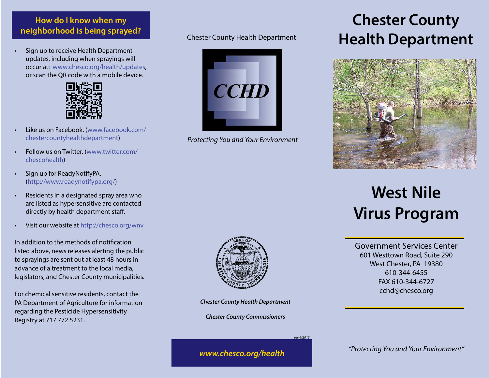### **How do I know when my neighborhood is being sprayed?** Chester County Health Department

• Sign up to receive Health Department updates, including when sprayings will occur at: www.chesco.org/health/updates, or scan the QR code with a mobile device.



- Like us on Facebook. (www.facebook.com/ chestercountyhealthdepartment)
- Follow us on Twitter. (www.twitter.com/ chescohealth)
- Sign up for ReadyNotifyPA. (http://www.readynotifypa.org/)
- Residents in a designated spray area who are listed as hypersensitive are contacted directly by health department staff.
- Visit our website at http://chesco.org/wnv.

In addition to the methods of notification listed above, news releases alerting the public to sprayings are sent out at least 48 hours in advance of a treatment to the local media, legislators, and Chester County municipalities.

For chemical sensitive residents, contact the PA Department of Agriculture for information regarding the Pesticide Hypersensitivity Registry at 717.772.5231.



*Protecting You and Your Environment*

## **Chester County Health Department**



# **West Nile Virus Program**

Government Services Center 601 Westtown Road, Suite 290 West Chester, PA 19380 610-344-6455 FAX 610-344-6727 cchd@chesco.org



*Chester County Health Department*

*Chester County Commissioners*

*rev 4/2013*

*"Protecting You and Your Environment" www.chesco.org/health*